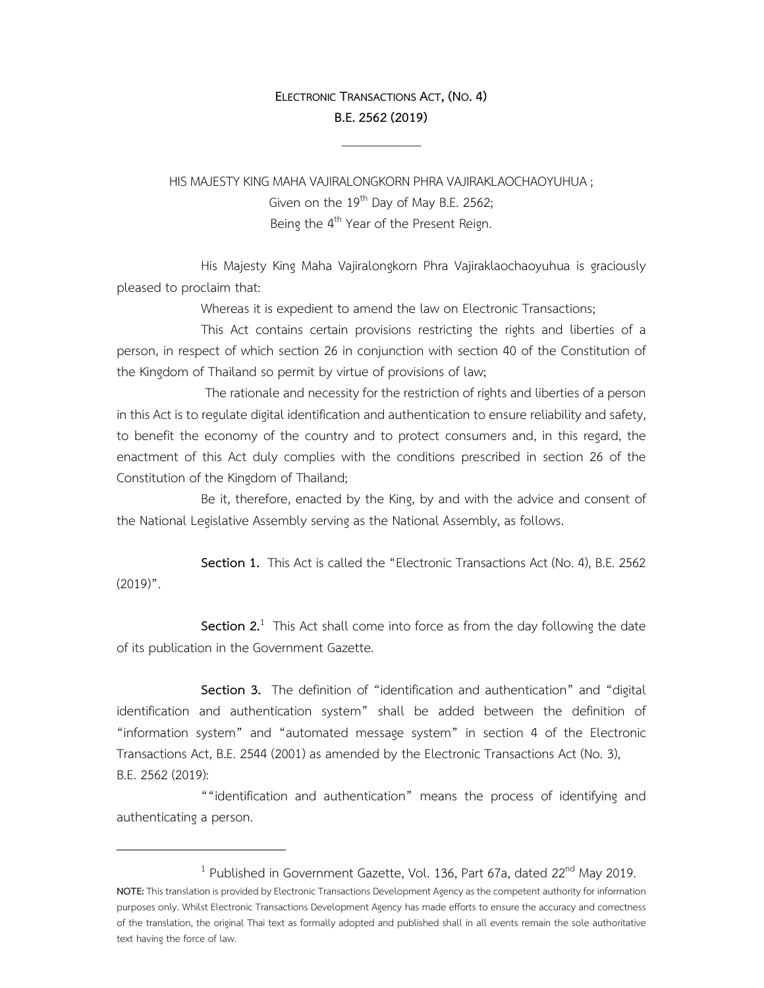## **ELECTRONIC TRANSACTIONS ACT, (NO.4) B.E.2562(2019)**

 $\mathcal{L}_\text{max}$ 

HIS MAJESTY KING MAHA VAJIRALONGKORN PHRA VAJIRAKLAOCHAOYUHUA ; Given on the  $19<sup>th</sup>$  Day of May B.E. 2562; Being the 4<sup>th</sup> Year of the Present Reign.

 His Majesty King Maha Vajiralongkorn Phra Vajiraklaochaoyuhua is graciously pleased to proclaim that:

Whereas it is expedient to amend the law on Electronic Transactions;

 This Act contains certain provisions restricting the rights and liberties of a person, in respect of which section 26 in conjunction with section 40 of the Constitution of the Kingdom of Thailand so permit by virtue of provisions of law;

 The rationale and necessity for the restriction of rights and liberties of a person in this Act is to regulate digital identification and authentication to ensure reliability and safety, to benefit the economy of the country and to protect consumers and, in this regard, the enactment of this Act duly complies with the conditions prescribed in section 26 of the Constitution of the Kingdom of Thailand;

 Be it, therefore, enacted by the King, by and with the advice and consent of the National Legislative Assembly serving as the National Assembly, as follows.

 **Section 1.** This Act is called the "Electronic Transactions Act (No. 4), B.E. 2562  $(2019)$ ".

**Section 2.**<sup>1</sup> This Act shall come into force as from the day following the date of its publication in the Government Gazette.

 **Section 3.** The definition of "identification and authentication" and "digital identification and authentication system" shall be added between the definition of "information system" and "automated message system" in section 4 of the Electronic Transactions Act, B.E. 2544 (2001) as amended by the Electronic Transactions Act (No. 3), B.E. 2562 (2019):

 ""identification and authentication" means the process of identifying and authenticating a person.

<sup>&</sup>lt;sup>1</sup> Published in Government Gazette, Vol. 136, Part 67a, dated 22<sup>nd</sup> May 2019.

**NOTE:** This translation is provided by Electronic Transactions Development Agency as the competent authority for information purposes only. Whilst Electronic Transactions Development Agency has made efforts to ensure the accuracy and correctness of the translation, the original Thai text as formally adopted and published shall in all events remain the sole authoritative text having the force of law.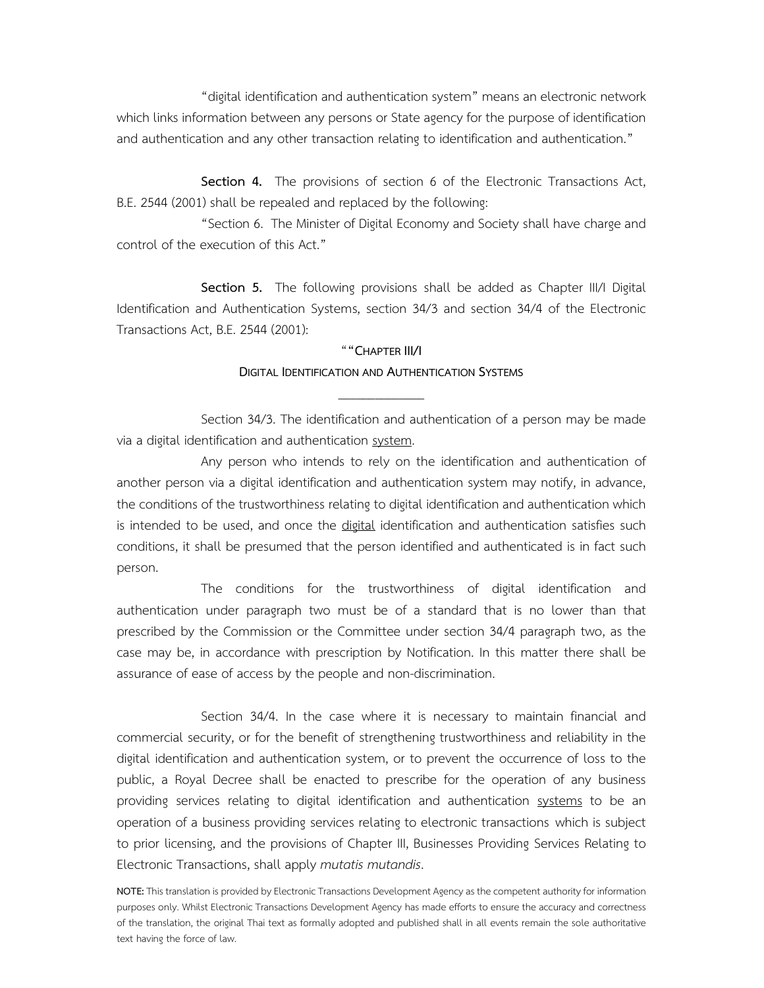"digital identification and authentication system" means an electronic network which links information between any persons or State agency for the purpose of identification and authentication and any other transaction relating to identification and authentication."

 **Section 4.** The provisions of section 6 of the Electronic Transactions Act, B.E. 2544 (2001) shall be repealed and replaced by the following:

 "Section 6. The Minister of Digital Economy and Society shall have charge and control of the execution of this Act."

 **Section 5.** The following provisions shall be added as Chapter III/I Digital Identification and Authentication Systems, section 34/3 and section 34/4 of the Electronic Transactions Act, B.E. 2544 (2001):

## "**"CHAPTER III/I DIGITAL IDENTIFICATION AND AUTHENTICATION SYSTEMS**

\_\_\_\_\_\_\_\_\_\_\_\_\_\_

 Section 34/3. The identification and authentication of a person may be made via a digital identification and authentication system.

 Any person who intends to rely on the identification and authentication of another person via a digital identification and authentication system may notify, in advance, the conditions of the trustworthiness relating to digital identification and authentication which is intended to be used, and once the digital identification and authentication satisfies such conditions, it shall be presumed that the person identified and authenticated is in fact such person.

 The conditions for the trustworthiness of digital identification and authentication under paragraph two must be of a standard that is no lower than that prescribed by the Commission or the Committee under section 34/4 paragraph two, as the case may be, in accordance with prescription by Notification. In this matter there shall be assurance of ease of access by the people and non-discrimination.

 Section 34/4. In the case where it is necessary to maintain financial and commercial security, or for the benefit of strengthening trustworthiness and reliability in the digital identification and authentication system, or to prevent the occurrence of loss to the public, a Royal Decree shall be enacted to prescribe for the operation of any business providing services relating to digital identification and authentication systems to be an operation of a business providing services relating to electronic transactions which is subject to prior licensing, and the provisions of Chapter III, Businesses Providing Services Relating to Electronic Transactions, shall apply *mutatis mutandis*.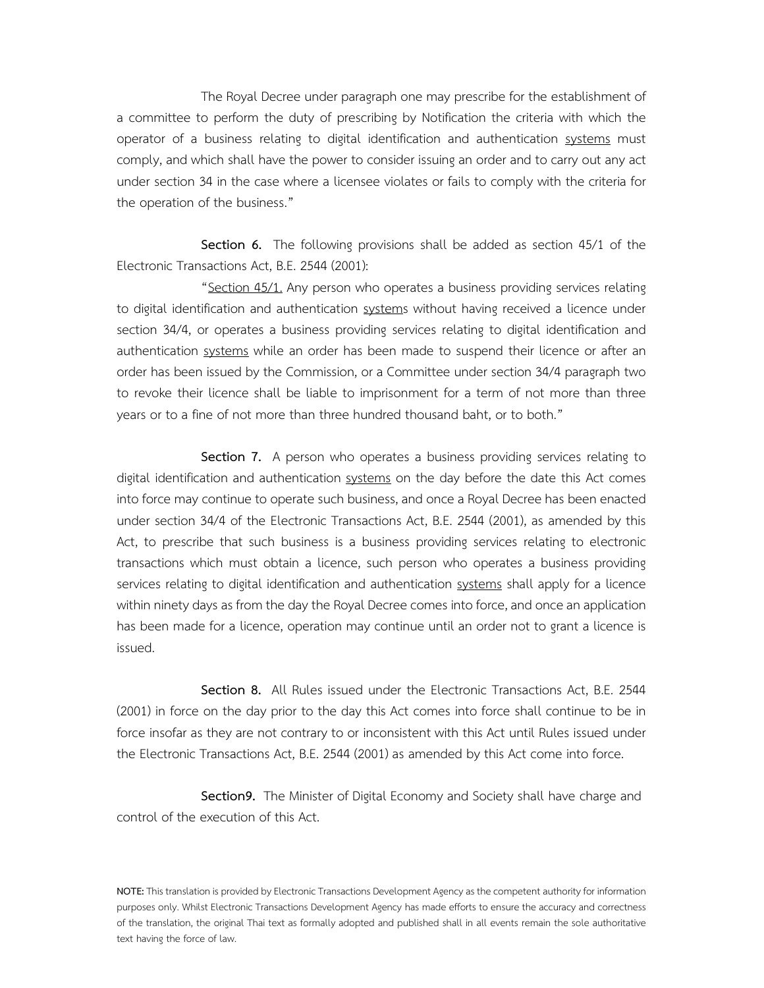The Royal Decree under paragraph one may prescribe for the establishment of a committee to perform the duty of prescribing by Notification the criteria with which the operator of a business relating to digital identification and authentication systems must comply, and which shall have the power to consider issuing an order and to carry out any act under section 34 in the case where a licensee violates or fails to comply with the criteria for the operation of the business."

 **Section 6.** The following provisions shall be added as section 45/1 of the Electronic Transactions Act, B.E. 2544 (2001):

 "Section 45/1. Any person who operates a business providing services relating to digital identification and authentication systems without having received a licence under section 34/4, or operates a business providing services relating to digital identification and authentication systems while an order has been made to suspend their licence or after an order has been issued by the Commission, or a Committee under section 34/4 paragraph two to revoke their licence shall be liable to imprisonment for a term of not more than three years or to a fine of not more than three hundred thousand baht, or to both."

 **Section 7.** A person who operates a business providing services relating to digital identification and authentication systems on the day before the date this Act comes into force may continue to operate such business, and once a Royal Decree has been enacted under section 34/4 of the Electronic Transactions Act, B.E. 2544 (2001), as amended by this Act, to prescribe that such business is a business providing services relating to electronic transactions which must obtain a licence, such person who operates a business providing services relating to digital identification and authentication systems shall apply for a licence within ninety days as from the day the Royal Decree comes into force, and once an application has been made for a licence, operation may continue until an order not to grant a licence is issued.

 **Section 8.** All Rules issued under the Electronic Transactions Act, B.E. 2544 (2001) in force on the day prior to the day this Act comes into force shall continue to be in force insofar as they are not contrary to or inconsistent with this Act until Rules issued under the Electronic Transactions Act, B.E. 2544 (2001) as amended by this Act come into force.

 **Section9.** The Minister of Digital Economy and Society shall have charge and control of the execution of this Act.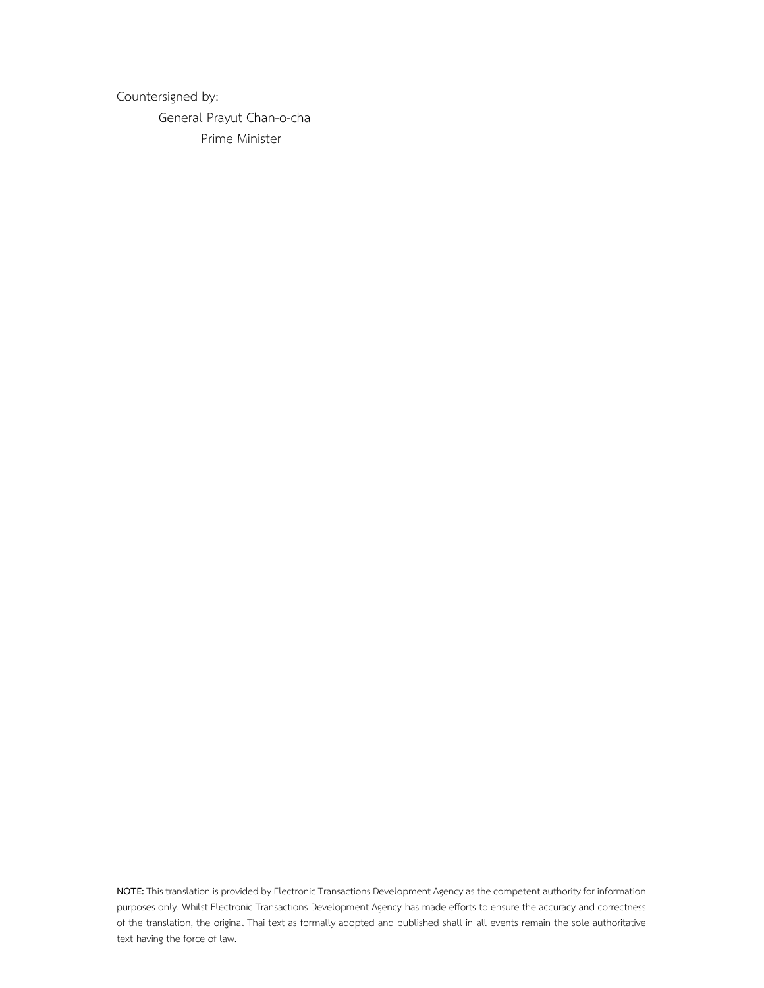Countersigned by:

 General Prayut Chan-o-cha Prime Minister